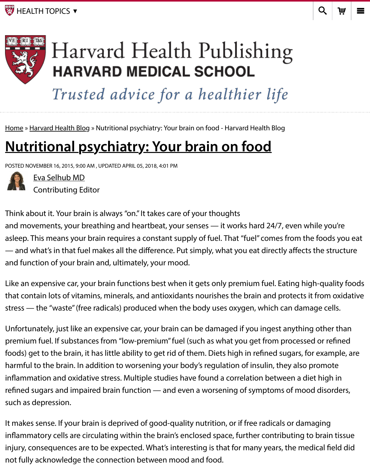

Home » Harvard Health Blog » Nutritional psychiatry: Your brain on food - Harvard Health Blog

# **[Nutritional psychiatry: Your brain on food](https://www.health.harvard.edu/)**

POSTED NOVEMBER 16, 2015, 9:00 AM , UPDATED APRIL 05, 2018, 4:01 PM



Eva Selhub MD [Contributing Edit](https://www.health.harvard.edu/blog)or

[Think about it. Your brain is always "on." It takes care of your thoughts](https://www.health.harvard.edu/blog/nutritional-psychiatry-your-brain-on-food-201511168626) and movements, your breathing and heartbeat, your senses — it works hard 24/7, even wh asleep. [This means your](https://www.health.harvard.edu/blog/author/eselhub) brain requires a constant supply of fuel. That "fuel" comes from the — and what's in that fuel makes all the difference. Put simply, what you eat directly affects to and function of your brain and, ultimately, your mood.

Like an expensive car, your brain functions best when it gets only premium fuel. Eating highthat contain lots of vitamins, minerals, and antioxidants nourishes the brain and protects it stress — the "waste" (free radicals) produced when the body uses oxygen, which can dama

Unfortunately, just like an expensive car, your brain can be damaged if you ingest anything premium fuel. If substances from "low-premium" fuel (such as what you get from processed foods) get to the brain, it has little ability to get rid of them. Diets high in refined sugars, for harmful to the brain. In addition to worsening your body's regulation of insulin, they also po inflammation and oxidative stress. Multiple studies have found a correlation between a diet refined sugars and impaired brain function — and even a worsening of symptoms of mood such as depression.

It makes sense. If your brain is deprived of good-quality nutrition, or if free radicals or dama inflammatory cells are circulating within the brain's enclosed space, further contributing to injury, consequences are to be expected. What's interesting is that for many years, the med not fully acknowledge the connection between mood and food.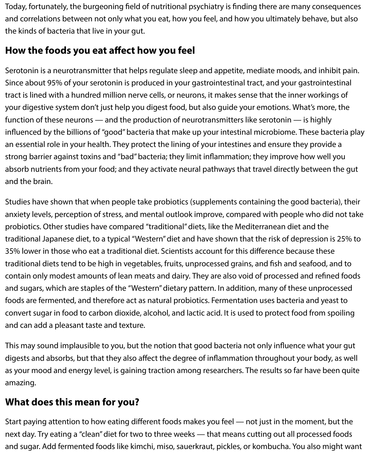Today, fortunately, the burgeoning feld of nutritional psychiatry is fnding there are many consequences and correlations between not only what you eat, how you feel, and how you ultimately behave, but also the kinds of bacteria that live in your gut.

## **How the foods you eat afect how you feel**

Serotonin is a neurotransmitter that helps regulate sleep and appetite, mediate moods, and inhibit pain. Since about 95% of your serotonin is produced in your gastrointestinal tract, and your gastrointestinal tract is lined with a hundred million nerve cells, or neurons, it makes sense that the inner workings of your digestive system don't just help you digest food, but also guide your emotions. What's more, the function of these neurons — and the production of neurotransmitters like serotonin — is highly infuenced by the billions of "good" bacteria that make up your intestinal microbiome. These bacteria play an essential role in your health. They protect the lining of your intestines and ensure they provide a strong barrier against toxins and "bad" bacteria; they limit infammation; they improve how well you absorb nutrients from your food; and they activate neural pathways that travel directly between the gut and the brain.

Studies have shown that when people take probiotics (supplements containing the good bacteria), their anxiety levels, perception of stress, and mental outlook improve, compared with people who did not take probiotics. Other studies have compared "traditional" diets, like the Mediterranean diet and the traditional Japanese diet, to a typical "Western" diet and have shown that the risk of depression is 25% to 35% lower in those who eat a traditional diet. Scientists account for this diference because these traditional diets tend to be high in vegetables, fruits, unprocessed grains, and fsh and seafood, and to contain only modest amounts of lean meats and dairy. They are also void of processed and refned foods and sugars, which are staples of the "Western" dietary pattern. In addition, many of these unprocessed foods are fermented, and therefore act as natural probiotics. Fermentation uses bacteria and yeast to convert sugar in food to carbon dioxide, alcohol, and lactic acid. It is used to protect food from spoiling and can add a pleasant taste and texture.

This may sound implausible to you, but the notion that good bacteria not only infuence what your gut digests and absorbs, but that they also afect the degree of infammation throughout your body, as well as your mood and energy level, is gaining traction among researchers. The results so far have been quite amazing.

## **What does this mean for you?**

Start paying attention to how eating diferent foods makes you feel — not just in the moment, but the next day. Try eating a "clean" diet for two to three weeks — that means cutting out all processed foods and sugar. Add fermented foods like kimchi, miso, sauerkraut, pickles, or kombucha. You also might want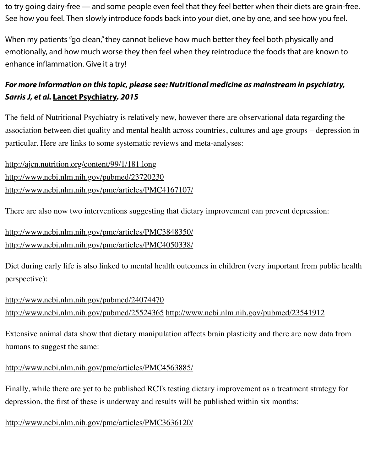enhance infammation. Give it a try!

## For more information on this topic, please see: Nutritional medicine as mainstream in ps *Sarris J, et al.* **Lancet Psychiatry***. 2015*

The field of Nutritional Psychiatry is relatively new, however there are observational data regarding the flux association between diet quality and mental health across countries, cultures and age groups – particular. Here are links to some systematic reviews and meta-analyses:

http://ajcn.nut[rition.org/content/99](http://www.ncbi.nlm.nih.gov/m/pubmed/26359904/)/1/181.long http://www.ncbi.nlm.nih.gov/pubmed/23720230 http://www.ncbi.nlm.nih.gov/pmc/articles/PMC4167107/

There are also now two interventions suggesting that dietary improvement can prevent depressent

[http://www.ncbi.nlm.nih.gov/pmc/articles/PM](http://ajcn.nutrition.org/content/99/1/181.long)C3848350/ [http://www.ncbi.nlm.nih.gov/pmc/articles/PMC4](http://www.ncbi.nlm.nih.gov/pubmed/23720230)[050338/](http://www.ncbi.nlm.nih.gov/pmc/articles/PMC4167107/)

Diet during early life is also linked to mental health outcomes in children (very important fron perspective):

[http://www.ncbi.nlm.nih.gov/pubmed/24074470](http://www.ncbi.nlm.nih.gov/pmc/articles/PMC3848350/) [http://www.ncbi.nlm.nih.gov/pubmed/25524365](http://www.ncbi.nlm.nih.gov/pmc/articles/PMC4050338/) http://www.ncbi.nlm.nih.gov/pubmed/235419

Extensive animal data show that dietary manipulation affects brain plasticity and there are nov humans to suggest the same:

#### [http://www.ncbi.nlm.nih.gov/pmc/articles/PMC4](http://www.ncbi.nlm.nih.gov/pubmed/24074470)[563885/](http://www.ncbi.nlm.nih.gov/pubmed/23541912)

Finally, while there are yet to be published RCTs testing dietary improvement as a treatment strategy for  $\overline{E}$ depression, the first of these is underway and results will be published within six months:

#### [http://www.ncbi.nlm.nih.gov/pmc/articles/PMC3636120/](http://www.ncbi.nlm.nih.gov/pmc/articles/PMC4563885/)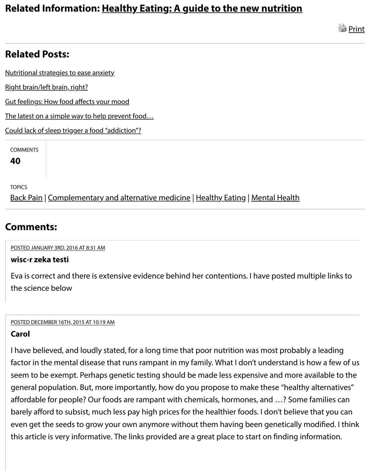Nutritional strategies to ease an[xiety](https://www.health.harvard.edu/special-health-reports/healthy-eating-a-guide-to-the-new-nutrition?utm_source=HHPBlog&utm_medium=link&utm_content=related-text&utm_campaign=referral)

Right brain/left brain, right?

Gut feelings: How food afects your mood

The latest on a simple way to help prevent food...

[Could lack of sleep trigger a food "ad](https://www.health.harvard.edu/blog/nutritional-strategies-to-ease-anxiety-201604139441)diction"?

**[COMMENTS](https://www.health.harvard.edu/blog/right-brainleft-brain-right-2017082512222)** 

**[40](https://www.health.harvard.edu/blog/gut-feelings-how-food-affects-your-mood-2018120715548)**

**[TOPICS](https://www.health.harvard.edu/blog/the-latest-on-a-simple-way-to-help-prevent-food-allergies-in-kids-201603089326)** 

Back Pain [| Complementary and alterna](https://www.health.harvard.edu/blog/lack-sleep-trigger-food-addiction-201604069403)tive medicine | Healthy Eating | Mental Health

## **Comments:**

1. POSTED JANUARY 3RD, 2016 AT 8:31 AM

### **[wisc-r zek](https://www.health.harvard.edu/blog/categories/health/back-pain)[a testi](https://www.health.harvard.edu/blog/categories/health/complementary-and-alternative-medicine-health)**

Eva is correct and there is extensive evidence behind her contentions. I have posted multi the science below

#### 2. POSTED DECEMBER 16TH, 2015 AT 10:19 AM

## **Carol**

<span id="page-3-0"></span>I have believed, and loudly stated, for a long time that poor nutrition was most probably a factor in the mental disease that runs rampant in my family. What I don't understand is how seem to be exempt. Perhaps genetic testing should be made less expensive and more available to [general population. But, more](#page-3-0) importantly, how do you propose to make these "healthy a affordable for people? Our foods are rampant with chemicals, hormones, and ...? Some fa barely afford to subsist, much less pay high prices for the healthier foods. I don't believe that even get the seeds to grow your own anymore without them having been genetically mo this article is very informative. The links provided are a great place to start on finding infor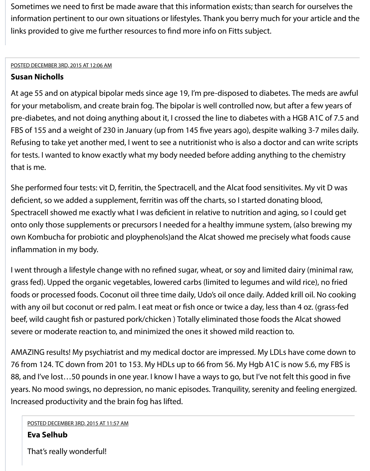<u>POSTED DECEMBER 3RD, 2015 AT 12:06 AM</u>

## **Susan Nicholls**

<span id="page-4-0"></span>At age 55 and on atypical bipolar meds since age 19, I'm pre-disposed to diabetes. The med for your metabolism, and create brain fog. The bipolar is well controlled now, but after a few pre-diabetes, and not doing anything about it, I crossed the line to diabetes with a HGB A [FBS of 155 and a weight of 230](#page-4-0) in January (up from 145 five years ago), despite walking 3-Refusing to take yet another med, I went to see a nutritionist who is also a doctor and can for tests. I wanted to know exactly what my body needed before adding anything to the c that is me.

She performed four tests: vit D, ferritin, the Spectracell, and the Alcat food sensitivites. My deficient, so we added a supplement, ferritin was off the charts, so I started donating blood Spectracell showed me exactly what I was deficient in relative to nutrition and aging, so I onto only those supplements or precursors I needed for a healthy immune system, (also brew own Kombucha for probiotic and ployphenols)and the Alcat showed me precisely what foot infammation in my body.

I went through a lifestyle change with no refined sugar, wheat, or soy and limited dairy (m grass fed). Upped the organic vegetables, lowered carbs (limited to legumes and wild rice foods or processed foods. Coconut oil three time daily, Udo's oil once daily. Added krill oil. with any oil but coconut or red palm. I eat meat or fish once or twice a day, less than 4 oz. beef, wild caught fish or pastured pork/chicken ) Totally eliminated those foods the Alcat severe or moderate reaction to, and minimized the ones it showed mild reaction to.

AMAZING results! My psychiatrist and my medical doctor are impressed. My LDLs have come down to the down to the 76 from 124. TC down from 201 to 153. My HDLs up to 66 from 56. My Hgb A1C is now 5.6 88, and I've lost...50 pounds in one year. I know I have a ways to go, but I've not felt this gout years. No mood swings, no depression, no manic episodes. Tranquility, serenity and feelin Increased productivity and the brain fog has lifted.

#### POSTED DECEMBER 3RD, 2015 AT 11:57 AM

#### **Eva Selhub**

That's really wonderful!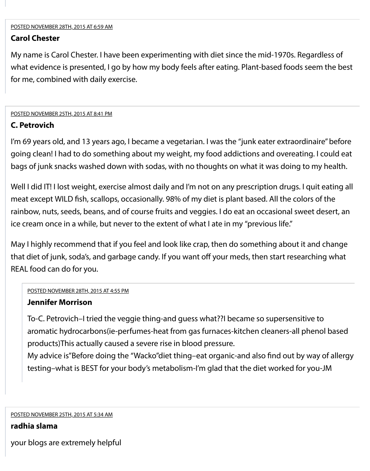what evidence is presented, I go by how my body feels after eating. Plant-based foods see for me, combined with daily exercise.

#### POSTED NOVEMBER 25TH, 2015 AT 8:41 PM

### **C. Petrovich**

I'm 69 years old, and 13 years ago, I became a vegetarian. I was the "junk eater extraordina going clean! I had to do something about my weight, my food addictions and overeating. bags of junk snacks washed down with sodas, with no thoughts on what it was doing to r

Well I did IT! I lost weight, exercise almost daily and I'm not on any prescription drugs. I qu meat except WILD fish, scallops, occasionally. 98% of my diet is plant based. All the colors rainbow, nuts, seeds, beans, and of course fruits and veggies. I do eat an occasional sweet ice cream once in a while, but never to the extent of what I ate in my "previous life."

May I highly recommend that if you feel and look like crap, then do something about it an that diet of junk, soda's, and garbage candy. If you want off your meds, then start research REAL food can do for you.

#### POSTED NOVEMBER 28TH, 2015 AT 4:55 PM

#### **Jennifer Morrison**

To-C. Petrovich–I tried the veggie thing-and guess what??I became so supersensitive aromatic hydrocarbons(ie-perfumes-heat from gas furnaces-kitchen cleaners-all phe products)This actually caused a severe rise in blood pressure.

<span id="page-5-0"></span>My advice is "Before doing the "Wacko" diet thing–eat organic-and also find out by way testing–what is BEST for your body's metabolism-I'm glad that the diet worked for you-

POSTED NOVEMBER 25TH, 2015 AT 5:34 AM

#### **radhia slama**

your blogs are extremely helpful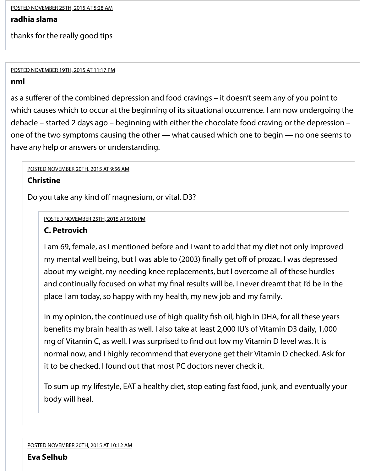<span id="page-6-0"></span>[POSTED NOVEMBER 19TH, 2015 AT 11:17 PM](#page-6-0)

#### **nml**

<span id="page-6-1"></span>as a sufferer of the combined depression and food cravings – it doesn't seem any of you portugal. which causes which to occur at the beginning of its situational occurrence. I am now und debacle – started 2 days ago – beginning with either the chocolate food craving or the de [one of the two symptoms caus](#page-6-1)ing the other — what caused which one to begin — no on have any help or answers or understanding.

#### POSTED NOVEMBER 20TH, 2015 AT 9:56 AM

## **Christine**

Do you take any kind off magnesium, or vital. D3?

#### POSTED NOVEMBER 25TH, 2015 AT 9:10 PM

## <span id="page-6-2"></span>**[C. Petrovich](#page-6-2)**

<span id="page-6-3"></span>I am 69, female, as I mentioned before and I want to add that my diet not only in my mental well being, but I was able to (2003) finally get off of prozac. I was dep about my weight, my needing knee replacements, but I overcome all of these h [and continually focused on wh](#page-6-3)at my final results will be. I never dreamt that I'd I place I am today, so happy with my health, my new job and my family.

In my opinion, the continued use of high quality fish oil, high in DHA, for all thes benefits my brain health as well. I also take at least 2,000 IU's of Vitamin D3 daily mg of Vitamin C, as well. I was surprised to find out low my Vitamin D level was. normal now, and I highly recommend that everyone get their Vitamin D checke it to be checked. I found out that most PC doctors never check it.

To sum up my lifestyle, EAT a healthy diet, stop eating fast food, junk, and event body will heal.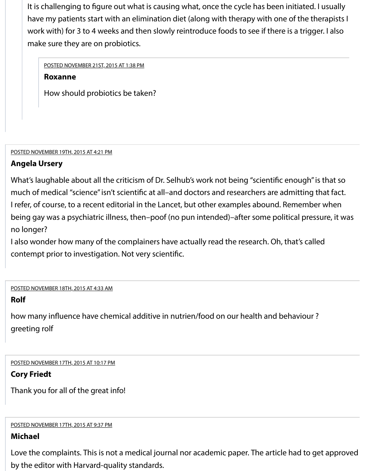POSTED NOVEMBER 21ST, 2015 AT 1:38 PM

### **Roxanne**

How should probiotics be taken?

#### POSTED NOVEMBER 19TH, 2015 AT 4:21 PM

## **Angela Ursery**

What's laughable about all the criticism of Dr. Selhub's work not being "scientific enough" much of medical "science" isn't scientific at all-and doctors and researchers are admitting I refer, of course, to a recent editorial in the Lancet, but other examples abound. Rememb [being gay was a psychiatric illn](#page-7-0)ess, then–poof (no pun intended)–after some political presture, it was a no longer?

<span id="page-7-0"></span>I also wonder how many of the complainers have actually read the research. Oh, that's cal contempt prior to investigation. Not very scientifc.

POSTED NOVEMBER 18TH, 2015 AT 4:33 AM

## **Rolf**

how many infuence have chemical additive in nutrien/food on our health and behaviour ? greeting rolf

POSTED NOVEMBER 17TH, 2015 AT 10:17 PM

## **Cory Friedt**

Thank you for all of the great info!

<span id="page-7-1"></span>[POSTED NOVEMBER 17TH, 2015 AT 9:37 PM](#page-7-1)

## **Michael**

Love the complaints. This is not a medical journal nor academic paper. The article had to g by the editor with Harvard-quality standards.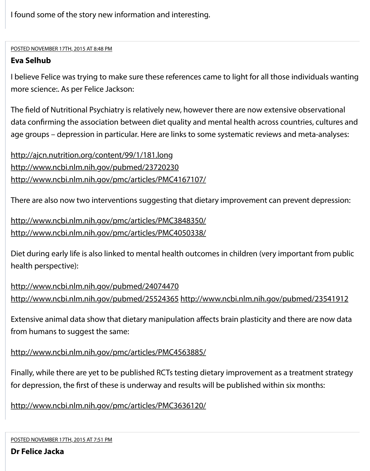I believe Felice was trying to make sure these references came to light for all those individ more science:. As per Felice Jackson:

<span id="page-8-0"></span>The fi[eld of Nutritional Psychia](#page-8-0)try is relatively new, however there are now extensive obse data confirming the association between diet quality and mental health across countries, age groups – depression in particular. Here are links to some systematic reviews and meta-

http://ajcn.nutrition.org/content/99/1/181.long http://www.ncbi.nlm.nih.gov/pubmed/23720230 http://www.ncbi.nlm.nih.gov/pmc/articles/PMC4167107/

There are also now two interventions suggesting that dietary improvement can prevent on

[http://www.ncbi.nlm.nih.gov/pmc/articles/PMC](http://ajcn.nutrition.org/content/99/1/181.long)3848350/ [http://www.ncbi.nlm.nih.gov/pmc/articles/PMC40](http://www.ncbi.nlm.nih.gov/pubmed/23720230)50338/

Diet during early life is also linked to mental health outcomes in children (very important health perspective):

[http://www.ncbi.nlm.nih.gov/pubmed/24074470](http://www.ncbi.nlm.nih.gov/pmc/articles/PMC3848350/) [http://www.ncbi.nlm.nih.gov/pubmed/25524365](http://www.ncbi.nlm.nih.gov/pmc/articles/PMC4050338/) http://www.ncbi.nlm.nih.gov/pubmed/

Extensive animal data show that dietary manipulation affects brain plasticity and there ar from humans to suggest the same:

## [http://www.ncbi.nlm.nih.gov/pmc/articles/PMC45](http://www.ncbi.nlm.nih.gov/pubmed/24074470)63885/

Finally, while there are yet to be published RCTs testing dietary improvement as a treatment for depression, the first of these is underway and results will be published within six mont

http://www.ncbi.nlm.nih.gov/pmc/articles/PMC3636120/

**Dr Felice Jacka**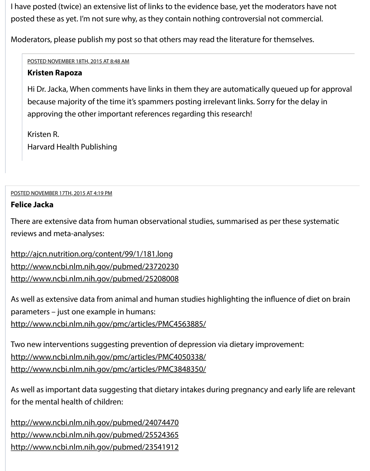#### **Kristen Rapoza**

Hi Dr. Jacka, When comments have links in them they are automatically queued up for because majority of the time it's spammers posting irrelevant links. Sorry for the dela approving the other important references regarding this research!

Kristen R. Harvard Health Publishing

#### POSTED NOVEMBER 17TH, 2015 AT 4:19 PM

### **Felice Jacka**

There are extensive data from human observational studies, summarised as per these syst reviews and meta-analyses:

<span id="page-9-0"></span>[http://ajcn.nutrition.org/conte](#page-9-0)nt/99/1/181.long http://www.ncbi.nlm.nih.gov/pubmed/23720230 http://www.ncbi.nlm.nih.gov/pubmed/25208008

As well as extensive data from animal and human studies highlighting the influence of diet parameters – just one example in humans: [http://www.ncbi.nlm.nih.gov/pmc/articles/PMC45](http://www.ncbi.nlm.nih.gov/pubmed/23720230)63885/

[Two new interventions suggesting prevention of d](http://www.ncbi.nlm.nih.gov/pubmed/25208008)epression via dietary improvement: http://www.ncbi.nlm.nih.gov/pmc/articles/PMC4050338/ http://www.ncbi.nlm.nih.gov/pmc/articles/PMC3848350/

[As well as important data suggesting that dietary intakes](http://www.ncbi.nlm.nih.gov/pmc/articles/PMC4563885/) during pregnancy and early life for the mental health of children:

[http://www.ncbi.nlm.nih.gov/pubmed/24074470](http://www.ncbi.nlm.nih.gov/pmc/articles/PMC4050338/) [http://www.ncbi.nlm.nih.gov/pubmed/25524365](http://www.ncbi.nlm.nih.gov/pmc/articles/PMC3848350/) http://www.ncbi.nlm.nih.gov/pubmed/23541912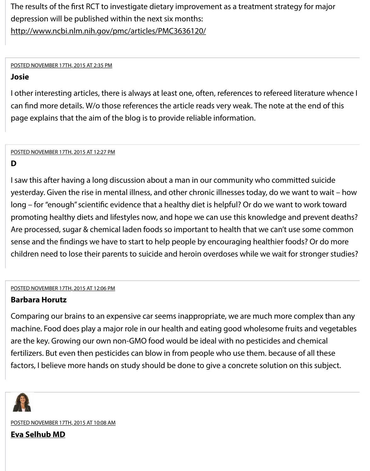#### <u>POSTED NOVEMBER 17TH, 2015 AT 2:35 PM</u>

#### **Josie**

[I other interesting articles, there is always at least one, ofte](http://www.ncbi.nlm.nih.gov/pmc/articles/PMC3636120/)n, references to refereed literat can find more details. W/o those references the article reads very weak. The note at the er page explains that the aim of the blog is to provide reliable information.

#### POSTED NOVEMBER 17TH, 2015 AT 12:27 PM

## **D**

<span id="page-10-0"></span>I saw this after having a long discussion about a man in our community who committed s yesterday. Given the rise in mental illness, and other chronic illnesses today, do we want to long – for "enough" scientific evidence that a healthy diet is helpful? Or do we want to wo [promoting healthy diets and lif](#page-10-0)estyles now, and hope we can use this knowledge and pre Are processed, sugar & chemical laden foods so important to health that we can't use som sense and the findings we have to start to help people by encouraging healthier foods? C children need to lose their parents to suicide and heroin overdoses while we wait for stron

#### POSTED NOVEMBER 17TH, 2015 AT 12:06 PM

## **Barbara Horutz**

<span id="page-10-1"></span>Comparing our brains to an expensive car seems inappropriate, we are much more complex to than any than any than  $\alpha$ machine. Food does play a major role in our health and eating good wholesome fruits and are the key. Growing our own non-GMO food would be ideal with no pesticides and chem [fertilizers. But even then pestic](#page-10-1)ides can blow in from people who use them. because of all factors, I believe more hands on study should be done to give a concrete solution on this



POSTED NOVEMBER 17TH, 2015 AT 10:08 AM

**Eva Selhub MD**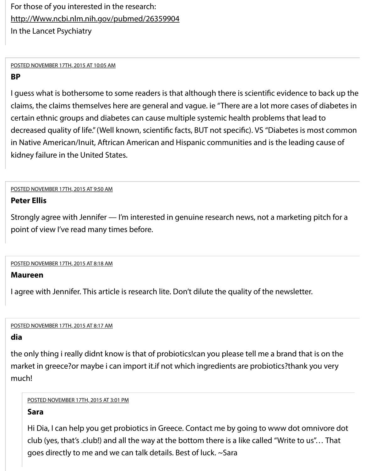#### **[BP](http://www.ncbi.nlm.nih.gov/pubmed/26359904)**

<span id="page-11-0"></span>I guess what is bothersome to some readers is that although there is scientific evidence to claims, the claims themselves here are general and vague. ie "There are a lot more cases of certain ethnic groups and diabetes can cause multiple systemic health problems that lead [decreased quality of life." \(Well](#page-11-0) known, scientific facts, BUT not specific). VS "Diabetes is m in Native American/Inuit, Aftrican American and Hispanic communities and is the leading kidney failure in the United States.

#### 21. POSTED NOVEMBER 17TH, 2015 AT 9:50 AM

#### **Peter Ellis**

Strongly agree with Jennifer — I'm interested in genuine research news, not a marketing point of view I've read many times before.

#### POSTED NOVEMBER 17TH, 2015 AT 8:18 AM

#### **Maureen**

I agree with Jennifer. This article is research lite. Don't dilute the quality of the newsletter.

#### <span id="page-11-1"></span>[POSTED NOVEMBER 17TH, 2015 AT 8:17 AM](#page-11-1)

#### **dia**

the only thing i really didnt know is that of probiotics! Can you please tell me a brand that market in greece? or maybe i can import it. if not which ingredients are probiotics? thank you much!

#### POSTED NOVEMBER 17TH, 2015 AT 3:01 PM

#### **Sara**

Hi Dia, I can help you get probiotics in Greece. Contact me by going to www dot oming club (yes, that's .club!) and all the way at the bottom there is a like called "Write to us goes directly to me and we can talk details. Best of luck. ~Sara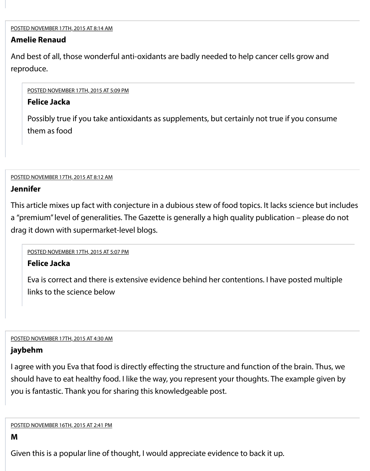<span id="page-12-0"></span>reproduce.

[POSTED NOVEMBER 17TH, 2015 AT 5](#page-12-0):09 PM

## **Felice Jacka**

Possibly true if you take antioxidants as supplements, but certainly not true if you co them as food

#### 25. POSTED NOVEMBER 17TH, 2015 AT 8:12 AM

## **Jennifer**

This article mixes up fact with conjecture in a dubious stew of food topics. It lacks science a "premium" level of generalities. The Gazette is generally a high quality publication - please drag it down with supermarket-level blogs.

POSTED NOVEMBER 17TH, 2015 AT 5:07 PM

## **Felice Jacka**

Eva is correct and there is extensive evidence behind her contentions. I have posted links to the science below

POSTED NOVEMBER 17TH, 2015 AT 4:30 AM

## **jaybehm**

I agree with you Eva that food is directly effecting the structure and function of the brain. should have to eat healthy food. I like the way, you represent your thoughts. The example you is fantastic. Thank you for sharing this knowledgeable post.

POSTED NOVEMBER 16TH, 2015 AT 2:41 PM

Given this is a popular line of thought, I would appreciate evidence to back it up.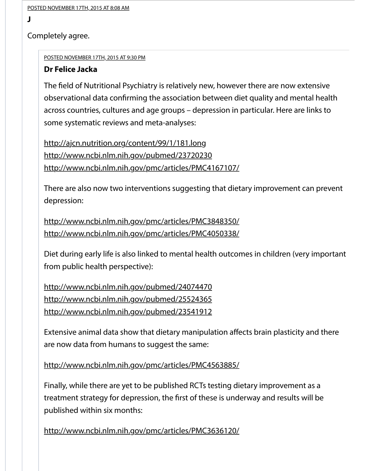#### <span id="page-13-0"></span>**[Dr Felice Jacka](#page-13-0)**

The field of Nutritional Psychiatry is relatively new, however there are now exter observational data confirming the association between diet quality and mental across countries, cultures and age groups - depression in particular. Here are lin [some systematic reviews and m](#page-13-1)eta-analyses:

<span id="page-13-1"></span>http://ajcn.nutrition.org/content/99/1/181.long http://www.ncbi.nlm.nih.gov/pubmed/23720230 http://www.ncbi.nlm.nih.gov/pmc/articles/PMC4167107/

There are also now two interventions suggesting that dietary improvement can [depression:](http://ajcn.nutrition.org/content/99/1/181.long)

[http://www.ncbi.nlm.nih.gov/pmc/articles/PMC38](http://www.ncbi.nlm.nih.gov/pubmed/23720230)48350/ [http://www.ncbi.nlm.nih.gov/pmc/articles/PMC4050338/](http://www.ncbi.nlm.nih.gov/pmc/articles/PMC4167107/)

Diet during early life is also linked to mental health outcomes in children (very in from public health perspective):

[http://www.ncbi.nlm.nih.gov/pubmed/24074470](http://www.ncbi.nlm.nih.gov/pmc/articles/PMC3848350/) [http://www.ncbi.nlm.nih.gov/pubmed/25524365](http://www.ncbi.nlm.nih.gov/pmc/articles/PMC4050338/) http://www.ncbi.nlm.nih.gov/pubmed/23541912

Extensive animal data show that dietary manipulation affects brain plasticity an [are now data from humans to suggest the same:](http://www.ncbi.nlm.nih.gov/pubmed/24074470)

[http://www.ncbi.nlm.nih.gov/pmc/articles/PMC45](http://www.ncbi.nlm.nih.gov/pubmed/25524365)63885/

Finally, while there are yet to be published RCTs testing dietary improvement as treatment strategy for depression, the first of these is underway and results will published within six months:

[http://www.ncbi.nlm.nih.gov/pmc/articles/PMC3636120/](http://www.ncbi.nlm.nih.gov/pmc/articles/PMC4563885/)